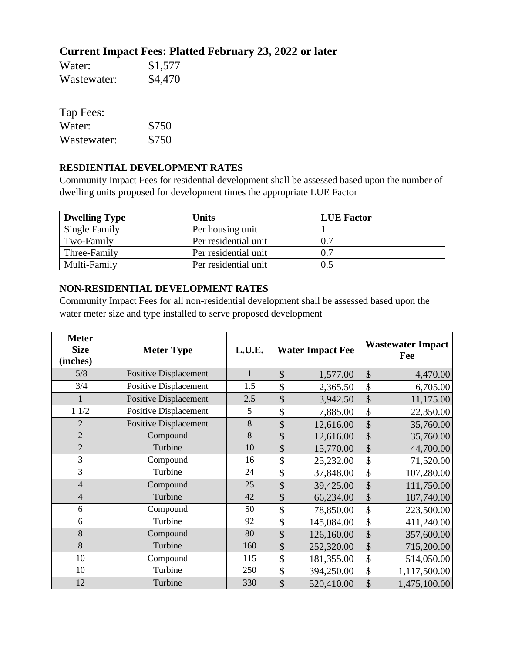## **Current Impact Fees: Platted February 23, 2022 or later**

| Water:      | \$1,577 |
|-------------|---------|
| Wastewater: | \$4,470 |

| Tap Fees:   |       |
|-------------|-------|
| Water:      | \$750 |
| Wastewater: | \$750 |

## **RESDIENTIAL DEVELOPMENT RATES**

Community Impact Fees for residential development shall be assessed based upon the number of dwelling units proposed for development times the appropriate LUE Factor

| <b>Dwelling Type</b> | Units                | <b>LUE Factor</b> |
|----------------------|----------------------|-------------------|
| <b>Single Family</b> | Per housing unit     |                   |
| Two-Family           | Per residential unit | 0.7               |
| Three-Family         | Per residential unit | 0.7               |
| Multi-Family         | Per residential unit | 0.5               |

## **NON-RESIDENTIAL DEVELOPMENT RATES**

Community Impact Fees for all non-residential development shall be assessed based upon the water meter size and type installed to serve proposed development

| <b>Meter</b><br><b>Size</b><br>(inches) | <b>Meter Type</b>            | L.U.E.       | <b>Water Impact Fee</b> |               | <b>Wastewater Impact</b><br>Fee |
|-----------------------------------------|------------------------------|--------------|-------------------------|---------------|---------------------------------|
| 5/8                                     | <b>Positive Displacement</b> | $\mathbf{1}$ | \$<br>1,577.00          | \$            | 4,470.00                        |
| 3/4                                     | <b>Positive Displacement</b> | 1.5          | \$<br>2,365.50          | \$            | 6,705.00                        |
|                                         | <b>Positive Displacement</b> | 2.5          | \$<br>3,942.50          | \$            | 11,175.00                       |
| 11/2                                    | Positive Displacement        | 5            | \$<br>7,885.00          | \$            | 22,350.00                       |
| $\overline{2}$                          | <b>Positive Displacement</b> | 8            | \$<br>12,616.00         | \$            | 35,760.00                       |
| $\overline{2}$                          | Compound                     | 8            | \$<br>12,616.00         | \$            | 35,760.00                       |
| $\overline{2}$                          | Turbine                      | 10           | \$<br>15,770.00         | \$            | 44,700.00                       |
| 3                                       | Compound                     | 16           | \$<br>25,232.00         | \$            | 71,520.00                       |
| 3                                       | Turbine                      | 24           | \$<br>37,848.00         | \$            | 107,280.00                      |
| $\overline{4}$                          | Compound                     | 25           | \$<br>39,425.00         | $\mathsf{\$}$ | 111,750.00                      |
| 4                                       | Turbine                      | 42           | \$<br>66,234.00         | \$            | 187,740.00                      |
| 6                                       | Compound                     | 50           | \$<br>78,850.00         | \$            | 223,500.00                      |
| 6                                       | Turbine                      | 92           | \$<br>145,084.00        | \$            | 411,240.00                      |
| 8                                       | Compound                     | 80           | \$<br>126,160.00        | \$            | 357,600.00                      |
| 8                                       | Turbine                      | 160          | \$<br>252,320.00        | \$            | 715,200.00                      |
| 10                                      | Compound                     | 115          | \$<br>181,355.00        | \$            | 514,050.00                      |
| 10                                      | Turbine                      | 250          | \$<br>394,250.00        | \$            | 1,117,500.00                    |
| 12                                      | Turbine                      | 330          | \$<br>520,410.00        | \$            | 1,475,100.00                    |